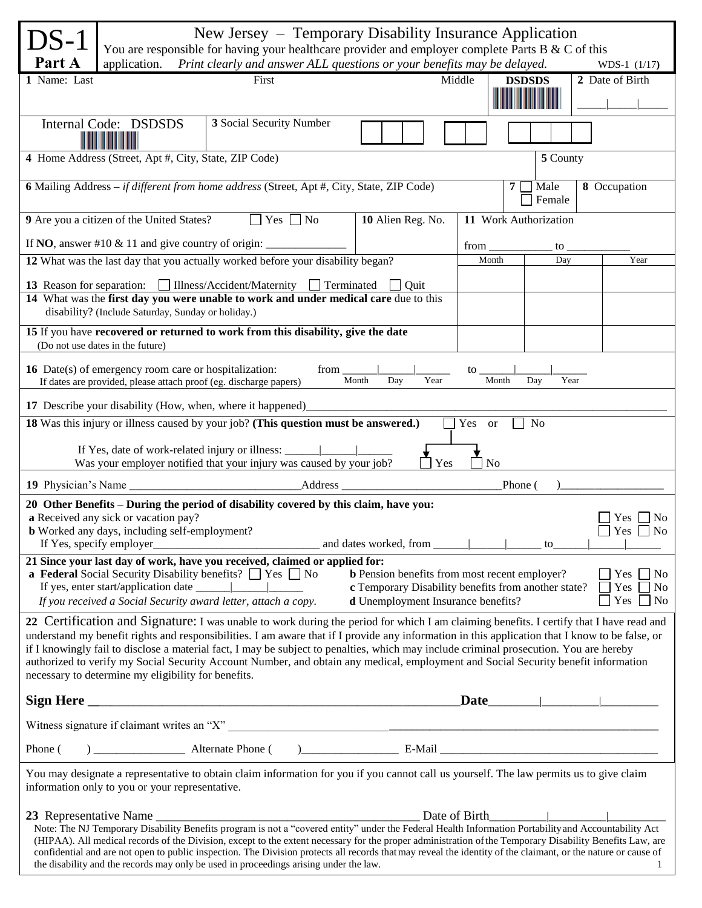| 'S-1<br>Part A                                                                                                                                                                                                                                                                                                                                                                                                                                                                                                                                                                                                                    | application.                                                                                                               | New Jersey – Temporary Disability Insurance Application<br>You are responsible for having your healthcare provider and employer complete Parts B & C of this<br>Print clearly and answer ALL questions or your benefits may be delayed. |                                             |                         |                | WDS-1 (1/17)    |
|-----------------------------------------------------------------------------------------------------------------------------------------------------------------------------------------------------------------------------------------------------------------------------------------------------------------------------------------------------------------------------------------------------------------------------------------------------------------------------------------------------------------------------------------------------------------------------------------------------------------------------------|----------------------------------------------------------------------------------------------------------------------------|-----------------------------------------------------------------------------------------------------------------------------------------------------------------------------------------------------------------------------------------|---------------------------------------------|-------------------------|----------------|-----------------|
| 1 Name: Last                                                                                                                                                                                                                                                                                                                                                                                                                                                                                                                                                                                                                      |                                                                                                                            | First                                                                                                                                                                                                                                   |                                             | Middle<br><b>DSDSDS</b> |                | 2 Date of Birth |
|                                                                                                                                                                                                                                                                                                                                                                                                                                                                                                                                                                                                                                   | Internal Code: DSDSDS                                                                                                      | 3 Social Security Number                                                                                                                                                                                                                |                                             |                         |                |                 |
|                                                                                                                                                                                                                                                                                                                                                                                                                                                                                                                                                                                                                                   | 4 Home Address (Street, Apt #, City, State, ZIP Code)                                                                      |                                                                                                                                                                                                                                         |                                             |                         | 5 County       |                 |
|                                                                                                                                                                                                                                                                                                                                                                                                                                                                                                                                                                                                                                   |                                                                                                                            | 6 Mailing Address - if different from home address (Street, Apt #, City, State, ZIP Code)                                                                                                                                               |                                             | $\overline{7}$          | Male<br>Female | 8 Occupation    |
|                                                                                                                                                                                                                                                                                                                                                                                                                                                                                                                                                                                                                                   | 9 Are you a citizen of the United States?                                                                                  | $Yes \nightharpoonup No$                                                                                                                                                                                                                | 10 Alien Reg. No.                           | 11 Work Authorization   |                |                 |
|                                                                                                                                                                                                                                                                                                                                                                                                                                                                                                                                                                                                                                   | If NO, answer #10 $\&$ 11 and give country of origin:                                                                      |                                                                                                                                                                                                                                         |                                             | from                    | to             |                 |
|                                                                                                                                                                                                                                                                                                                                                                                                                                                                                                                                                                                                                                   |                                                                                                                            | 12 What was the last day that you actually worked before your disability began?                                                                                                                                                         |                                             | Month                   | Day            | Year            |
|                                                                                                                                                                                                                                                                                                                                                                                                                                                                                                                                                                                                                                   | <b>13</b> Reason for separation: Illness/Accident/Maternity                                                                | 14 What was the first day you were unable to work and under medical care due to this                                                                                                                                                    | Terminated<br>$\overline{\phantom{a}}$ Ouit |                         |                |                 |
|                                                                                                                                                                                                                                                                                                                                                                                                                                                                                                                                                                                                                                   | disability? (Include Saturday, Sunday or holiday.)                                                                         |                                                                                                                                                                                                                                         |                                             |                         |                |                 |
|                                                                                                                                                                                                                                                                                                                                                                                                                                                                                                                                                                                                                                   | (Do not use dates in the future)                                                                                           | 15 If you have recovered or returned to work from this disability, give the date                                                                                                                                                        |                                             |                         |                |                 |
|                                                                                                                                                                                                                                                                                                                                                                                                                                                                                                                                                                                                                                   | 16 Date(s) of emergency room care or hospitalization:<br>If dates are provided, please attach proof (eg. discharge papers) | from                                                                                                                                                                                                                                    | Year<br>Month<br>Day                        | to<br>Month             | Day<br>Year    |                 |
|                                                                                                                                                                                                                                                                                                                                                                                                                                                                                                                                                                                                                                   |                                                                                                                            | 17 Describe your disability (How, when, where it happened)                                                                                                                                                                              |                                             |                         |                |                 |
|                                                                                                                                                                                                                                                                                                                                                                                                                                                                                                                                                                                                                                   |                                                                                                                            | 18 Was this injury or illness caused by your job? (This question must be answered.)                                                                                                                                                     |                                             | Yes<br><sub>or</sub>    | No             |                 |
| If Yes, date of work-related injury or illness: ______<br>Was your employer notified that your injury was caused by your job?<br>N <sub>o</sub><br>Yes                                                                                                                                                                                                                                                                                                                                                                                                                                                                            |                                                                                                                            |                                                                                                                                                                                                                                         |                                             |                         |                |                 |
|                                                                                                                                                                                                                                                                                                                                                                                                                                                                                                                                                                                                                                   |                                                                                                                            | _Address                                                                                                                                                                                                                                |                                             | Phone (                 |                |                 |
| 20 Other Benefits - During the period of disability covered by this claim, have you:<br>a Received any sick or vacation pay?<br><b>Yes</b><br>No.<br><b>b</b> Worked any days, including self-employment?<br>$\Box$ Yes $\Box$ No<br>If Yes, specify employer                                                                                                                                                                                                                                                                                                                                                                     |                                                                                                                            |                                                                                                                                                                                                                                         |                                             |                         |                |                 |
| 21 Since your last day of work, have you received, claimed or applied for:<br><b>a Federal</b> Social Security Disability benefits? $\Box$ Yes $\Box$ No<br><b>b</b> Pension benefits from most recent employer?<br>$\Box$ Yes $\Box$ No<br>c Temporary Disability benefits from another state?<br>Yes $\n $ No<br>If you received a Social Security award letter, attach a copy.<br><b>d</b> Unemployment Insurance benefits?<br>Yes $\Box$ No                                                                                                                                                                                   |                                                                                                                            |                                                                                                                                                                                                                                         |                                             |                         |                |                 |
| 22 Certification and Signature: I was unable to work during the period for which I am claiming benefits. I certify that I have read and<br>understand my benefit rights and responsibilities. I am aware that if I provide any information in this application that I know to be false, or<br>if I knowingly fail to disclose a material fact, I may be subject to penalties, which may include criminal prosecution. You are hereby<br>authorized to verify my Social Security Account Number, and obtain any medical, employment and Social Security benefit information<br>necessary to determine my eligibility for benefits. |                                                                                                                            |                                                                                                                                                                                                                                         |                                             |                         |                |                 |
|                                                                                                                                                                                                                                                                                                                                                                                                                                                                                                                                                                                                                                   |                                                                                                                            |                                                                                                                                                                                                                                         |                                             | Date                    |                |                 |
|                                                                                                                                                                                                                                                                                                                                                                                                                                                                                                                                                                                                                                   |                                                                                                                            |                                                                                                                                                                                                                                         |                                             |                         |                |                 |
|                                                                                                                                                                                                                                                                                                                                                                                                                                                                                                                                                                                                                                   |                                                                                                                            |                                                                                                                                                                                                                                         |                                             |                         |                |                 |
| You may designate a representative to obtain claim information for you if you cannot call us yourself. The law permits us to give claim<br>information only to you or your representative.                                                                                                                                                                                                                                                                                                                                                                                                                                        |                                                                                                                            |                                                                                                                                                                                                                                         |                                             |                         |                |                 |
| Date of Birth<br>23 Representative Name<br>Note: The NJ Temporary Disability Benefits program is not a "covered entity" under the Federal Health Information Portability and Accountability Act<br>(HIPAA). All medical records of the Division, except to the extent necessary for the proper administration of the Temporary Disability Benefits Law, are<br>confidential and are not open to public inspection. The Division protects all records that may reveal the identity of the claimant, or the nature or cause of<br>the disability and the records may only be used in proceedings arising under the law.<br>1        |                                                                                                                            |                                                                                                                                                                                                                                         |                                             |                         |                |                 |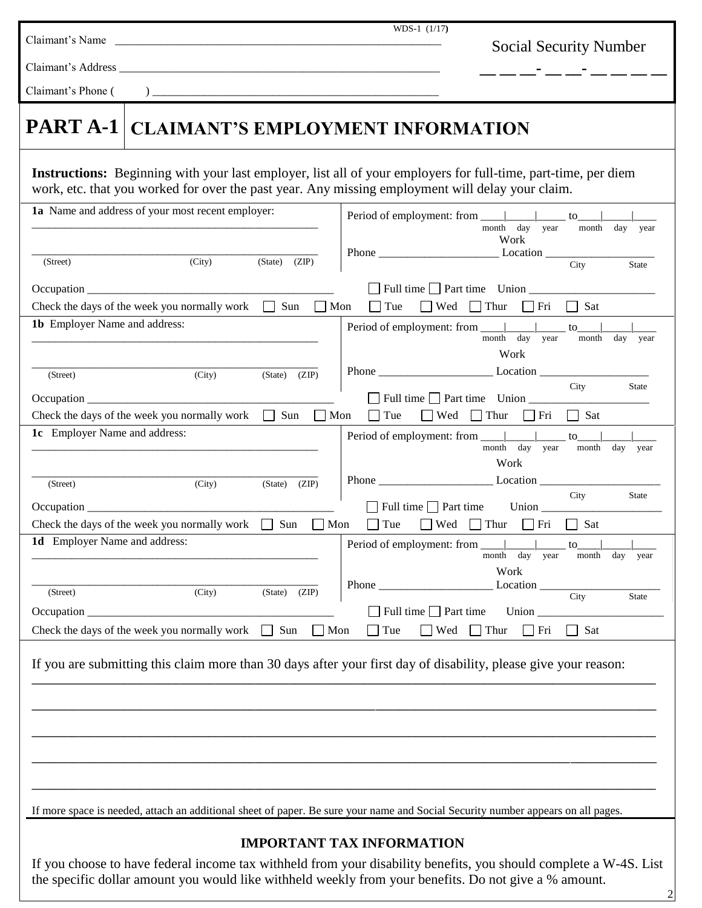| Claimant's Name                                                                                                                  | WDS-1 $(1/17)$                                                                                                                                        |
|----------------------------------------------------------------------------------------------------------------------------------|-------------------------------------------------------------------------------------------------------------------------------------------------------|
|                                                                                                                                  | <b>Social Security Number</b>                                                                                                                         |
| Claimant's Address __                                                                                                            |                                                                                                                                                       |
| Claimant's Phone (<br>$\overline{)}$                                                                                             |                                                                                                                                                       |
| PART A-1<br><b>CLAIMANT'S EMPLOYMENT INFORMATION</b>                                                                             |                                                                                                                                                       |
| work, etc. that you worked for over the past year. Any missing employment will delay your claim.                                 | <b>Instructions:</b> Beginning with your last employer, list all of your employers for full-time, part-time, per diem                                 |
| 1a Name and address of your most recent employer:                                                                                | $\overline{\text{to}}$<br>month day year<br>month<br>day<br>year<br>Work                                                                              |
| (City)<br>$(State)$ $(ZIP)$<br>(Street)                                                                                          | $\overline{City}$<br>State                                                                                                                            |
| Check the days of the week you normally work $\Box$ Sun $\Box$ Mon                                                               | $\Box$ Full time $\Box$ Part time Union $\Box$<br>$\Box$ Tue<br>$\Box$ Wed $\Box$ Thur $\Box$ Fri $\Box$ Sat                                          |
| 1b Employer Name and address:                                                                                                    | to<br>month day year<br>month<br>day<br>year<br>Work                                                                                                  |
| (City)<br>$(State)$ $(ZIP)$<br>(Street)                                                                                          | City<br>State                                                                                                                                         |
| Check the days of the week you normally work $\Box$ Sun                                                                          | $\Box$ Full time $\Box$ Part time Union<br>$\Box$ Mon<br>$\Box$ Tue<br>$\Box$ Wed $\Box$ Thur<br>$\Box$ Sat<br>  Fri                                  |
| 1c Employer Name and address:                                                                                                    | Period of employment: from ____________________ to______<br>month day year<br>month<br>day year<br>Work                                               |
| (City)<br>(State) (ZIP)<br>(Street)                                                                                              | City<br><b>State</b><br>Full time Part time<br>Union $\qquad$                                                                                         |
| Check the days of the week you normally work $\Box$ Sun<br>$\Box$ Mon<br>1d Employer Name and address:                           | $\Box$ Wed $\Box$ Thur<br>$\Box$ Sat<br>$\vert$ Tue<br>$\Box$ Fri<br>Period of employment: from _____<br>to                                           |
| (City)<br>(State)<br>(ZIP)<br>(Street)                                                                                           | month day year<br>month<br>day year<br>Work<br>Location<br>Phone<br>City<br>State                                                                     |
| Occupation _<br>Check the days of the week you normally work<br>Sun<br>$\Box$ Mon<br>$\Box$                                      | $\Box$ Full time $\Box$ Part time<br>Union $\_$<br>$\Box$ Wed<br>$\Box$ Thur<br>$\Box$ Fri<br>$\Box$ Sat<br>$\exists$ Tue                             |
| If you are submitting this claim more than 30 days after your first day of disability, please give your reason:                  |                                                                                                                                                       |
|                                                                                                                                  |                                                                                                                                                       |
|                                                                                                                                  |                                                                                                                                                       |
|                                                                                                                                  |                                                                                                                                                       |
| If more space is needed, attach an additional sheet of paper. Be sure your name and Social Security number appears on all pages. |                                                                                                                                                       |
| the specific dollar amount you would like withheld weekly from your benefits. Do not give a % amount.                            | <b>IMPORTANT TAX INFORMATION</b><br>If you choose to have federal income tax withheld from your disability benefits, you should complete a W-4S. List |

2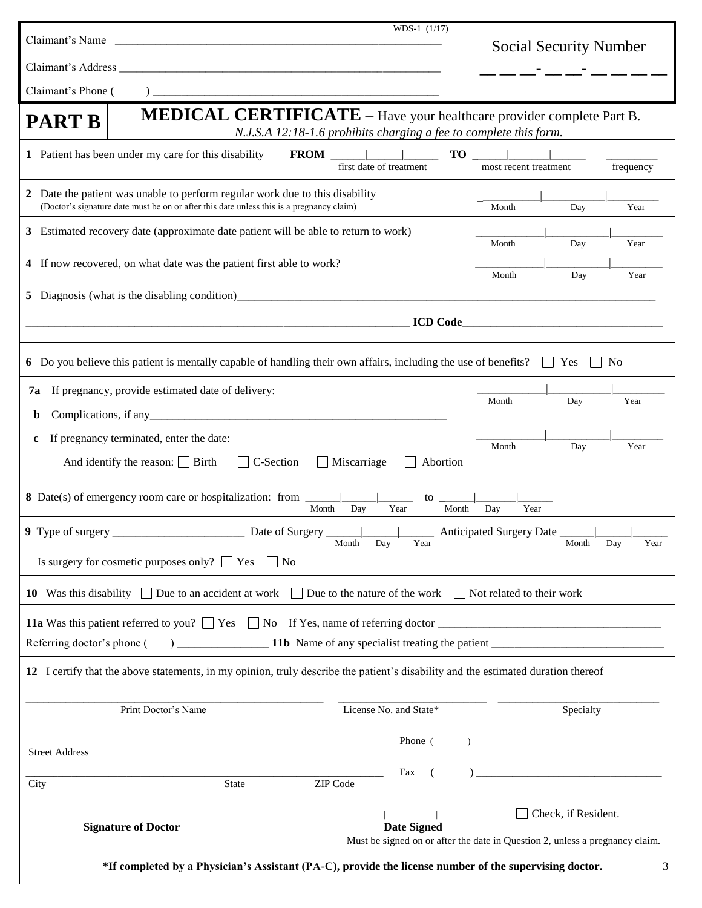| Claimant's Name                                                                                                                                                                         | $WDS-1$ $(1/17)$                                                                                                                                                       |                                                                              |  |  |
|-----------------------------------------------------------------------------------------------------------------------------------------------------------------------------------------|------------------------------------------------------------------------------------------------------------------------------------------------------------------------|------------------------------------------------------------------------------|--|--|
|                                                                                                                                                                                         |                                                                                                                                                                        | <b>Social Security Number</b>                                                |  |  |
| Claimant's Phone (                                                                                                                                                                      |                                                                                                                                                                        |                                                                              |  |  |
|                                                                                                                                                                                         | <b>MEDICAL CERTIFICATE</b> - Have your healthcare provider complete Part B.                                                                                            |                                                                              |  |  |
| <b>PART B</b>                                                                                                                                                                           | N.J.S.A 12:18-1.6 prohibits charging a fee to complete this form.                                                                                                      |                                                                              |  |  |
|                                                                                                                                                                                         | 1 Patient has been under my care for this disability<br>first date of treatment                                                                                        | $\mathbf{TO}$  <br>frequency<br>most recent treatment                        |  |  |
| 2                                                                                                                                                                                       | Date the patient was unable to perform regular work due to this disability<br>(Doctor's signature date must be on or after this date unless this is a pregnancy claim) | Year<br>Month<br>Day                                                         |  |  |
|                                                                                                                                                                                         | 3 Estimated recovery date (approximate date patient will be able to return to work)                                                                                    | Month<br>Day<br>Year                                                         |  |  |
|                                                                                                                                                                                         | 4 If now recovered, on what date was the patient first able to work?                                                                                                   | Month<br>Day<br>Year                                                         |  |  |
| 5                                                                                                                                                                                       |                                                                                                                                                                        |                                                                              |  |  |
|                                                                                                                                                                                         |                                                                                                                                                                        |                                                                              |  |  |
|                                                                                                                                                                                         | 6 Do you believe this patient is mentally capable of handling their own affairs, including the use of benefits? $\Box$ Yes                                             | N <sub>0</sub>                                                               |  |  |
| 7a<br>b                                                                                                                                                                                 | If pregnancy, provide estimated date of delivery:                                                                                                                      | Month<br>Day<br>Year                                                         |  |  |
| c                                                                                                                                                                                       | If pregnancy terminated, enter the date:                                                                                                                               |                                                                              |  |  |
| Month<br>Day<br>Year<br>And identify the reason: $\Box$ Birth<br>$\Box$ C-Section<br>$\Box$ Miscarriage<br>Abortion<br>$\Box$                                                           |                                                                                                                                                                        |                                                                              |  |  |
|                                                                                                                                                                                         | to $\overline{\phantom{0}}$<br>Year<br>Month<br>Day                                                                                                                    | Month<br>Day<br>Year                                                         |  |  |
| 9 Type of surgery __<br>Anticipated Surgery Date _<br>the control of the<br>Month<br>Day<br>Year<br>Month<br>Day<br>Year<br>Is surgery for cosmetic purposes only? $\Box$ Yes $\Box$ No |                                                                                                                                                                        |                                                                              |  |  |
| 10 Was this disability $\Box$ Due to an accident at work $\Box$ Due to the nature of the work $\Box$ Not related to their work                                                          |                                                                                                                                                                        |                                                                              |  |  |
|                                                                                                                                                                                         | 11a Was this patient referred to you? $\Box$ Yes $\Box$ No If Yes, name of referring doctor $\Box$                                                                     |                                                                              |  |  |
|                                                                                                                                                                                         |                                                                                                                                                                        |                                                                              |  |  |
|                                                                                                                                                                                         | 12 I certify that the above statements, in my opinion, truly describe the patient's disability and the estimated duration thereof                                      |                                                                              |  |  |
|                                                                                                                                                                                         | Print Doctor's Name<br>License No. and State*                                                                                                                          | Specialty                                                                    |  |  |
| <b>Street Address</b>                                                                                                                                                                   | Phone (<br>and the control of the control of the control of the control of the control of the control of the control of the                                            |                                                                              |  |  |
| City                                                                                                                                                                                    | Fax<br>$\left($<br>ZIP Code<br><b>State</b>                                                                                                                            | <u> 1980 - Jan Barbara Barbara, manazarta </u>                               |  |  |
|                                                                                                                                                                                         | <b>Date Signed</b><br><b>Signature of Doctor</b>                                                                                                                       | Check, if Resident.                                                          |  |  |
|                                                                                                                                                                                         |                                                                                                                                                                        | Must be signed on or after the date in Question 2, unless a pregnancy claim. |  |  |
| *If completed by a Physician's Assistant (PA-C), provide the license number of the supervising doctor.<br>3                                                                             |                                                                                                                                                                        |                                                                              |  |  |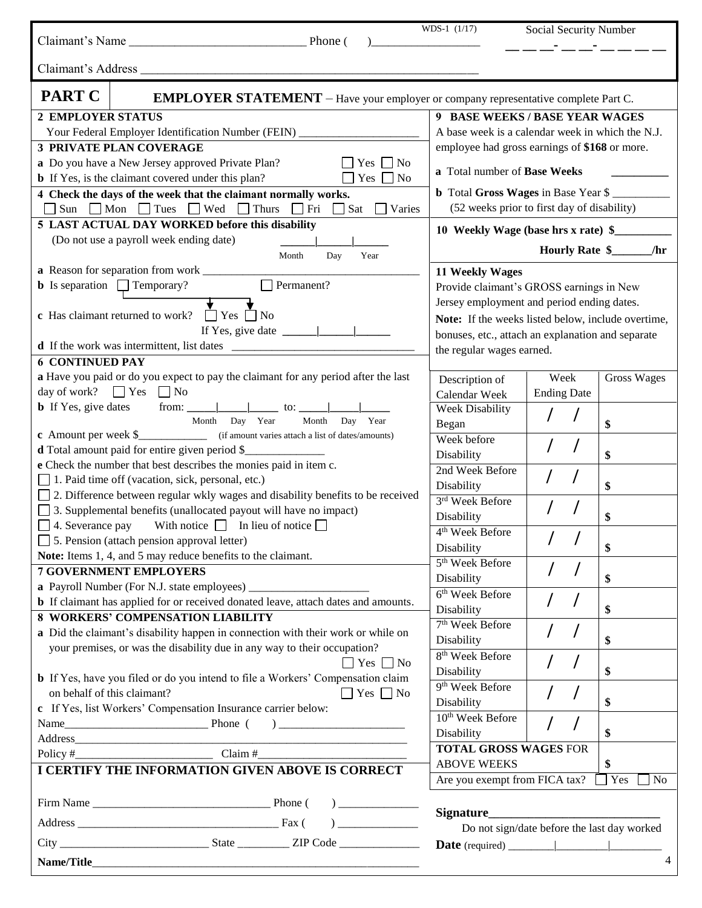|                                                                                                                                                                                                                                                               | WDS-1 $(1/17)$<br><u> 1989 - Jan Jan Jawa Barat, pamanén Jawa Barat, pamanén Jawa Barat, pamanén Jawa Barat, pamanén Jawa Barat, p</u> | Social Security Number                      |                    |  |
|---------------------------------------------------------------------------------------------------------------------------------------------------------------------------------------------------------------------------------------------------------------|----------------------------------------------------------------------------------------------------------------------------------------|---------------------------------------------|--------------------|--|
|                                                                                                                                                                                                                                                               |                                                                                                                                        |                                             |                    |  |
| <b>PART C</b><br><b>EMPLOYER STATEMENT</b> – Have your employer or company representative complete Part C.                                                                                                                                                    |                                                                                                                                        |                                             |                    |  |
| <b>2 EMPLOYER STATUS</b>                                                                                                                                                                                                                                      | 9 BASE WEEKS / BASE YEAR WAGES                                                                                                         |                                             |                    |  |
| Your Federal Employer Identification Number (FEIN) _____________________________                                                                                                                                                                              | A base week is a calendar week in which the N.J.                                                                                       |                                             |                    |  |
| <b>3 PRIVATE PLAN COVERAGE</b>                                                                                                                                                                                                                                | employee had gross earnings of \$168 or more.                                                                                          |                                             |                    |  |
| a Do you have a New Jersey approved Private Plan?<br>$\Box$ Yes $\Box$ No                                                                                                                                                                                     |                                                                                                                                        |                                             |                    |  |
| <b>b</b> If Yes, is the claimant covered under this plan?<br>$\Box$ Yes $\Box$ No                                                                                                                                                                             | a Total number of Base Weeks                                                                                                           |                                             |                    |  |
| 4 Check the days of the week that the claimant normally works.                                                                                                                                                                                                | <b>b</b> Total Gross Wages in Base Year \$                                                                                             |                                             |                    |  |
| Sun Mon Tues Wed Thurs Fri Sat Varies                                                                                                                                                                                                                         | (52 weeks prior to first day of disability)                                                                                            |                                             |                    |  |
| 5 LAST ACTUAL DAY WORKED before this disability                                                                                                                                                                                                               | 10 Weekly Wage (base hrs x rate) \$                                                                                                    |                                             |                    |  |
| (Do not use a payroll week ending date)                                                                                                                                                                                                                       |                                                                                                                                        |                                             |                    |  |
| Year<br>Month<br>Day                                                                                                                                                                                                                                          |                                                                                                                                        | Hourly Rate \$                              | /hr                |  |
|                                                                                                                                                                                                                                                               | 11 Weekly Wages                                                                                                                        |                                             |                    |  |
| Permanent?<br><b>b</b> Is separation $\Box$ Temporary?                                                                                                                                                                                                        | Provide claimant's GROSS earnings in New                                                                                               |                                             |                    |  |
|                                                                                                                                                                                                                                                               | Jersey employment and period ending dates.                                                                                             |                                             |                    |  |
| <b>c</b> Has claimant returned to work? $\Box$ Yes $\Box$ No                                                                                                                                                                                                  | Note: If the weeks listed below, include overtime,                                                                                     |                                             |                    |  |
| If Yes, give date $\frac{ \cdot }{ \cdot }$                                                                                                                                                                                                                   | bonuses, etc., attach an explanation and separate                                                                                      |                                             |                    |  |
| <b>d</b> If the work was intermittent, list dates                                                                                                                                                                                                             | the regular wages earned.                                                                                                              |                                             |                    |  |
| <b>6 CONTINUED PAY</b>                                                                                                                                                                                                                                        |                                                                                                                                        |                                             |                    |  |
| a Have you paid or do you expect to pay the claimant for any period after the last                                                                                                                                                                            | Description of                                                                                                                         | Week                                        | <b>Gross Wages</b> |  |
| day of work? $\Box$ Yes $\Box$ No                                                                                                                                                                                                                             | Calendar Week                                                                                                                          | <b>Ending Date</b>                          |                    |  |
|                                                                                                                                                                                                                                                               | Week Disability                                                                                                                        |                                             |                    |  |
| Month<br>Month<br>Day Year<br>Day Year                                                                                                                                                                                                                        | Began                                                                                                                                  |                                             | \$                 |  |
| <b>c</b> Amount per week \$_____________ (if amount varies attach a list of dates/amounts)                                                                                                                                                                    | Week before                                                                                                                            |                                             |                    |  |
| <b>d</b> Total amount paid for entire given period \$                                                                                                                                                                                                         | Disability                                                                                                                             |                                             | \$                 |  |
| e Check the number that best describes the monies paid in item c.                                                                                                                                                                                             | 2nd Week Before                                                                                                                        |                                             |                    |  |
| 1. Paid time off (vacation, sick, personal, etc.)<br>$\Box$ 2. Difference between regular wkly wages and disability benefits to be received                                                                                                                   | Disability                                                                                                                             |                                             | \$                 |  |
| $\Box$ 3. Supplemental benefits (unallocated payout will have no impact)                                                                                                                                                                                      | 3rd Week Before                                                                                                                        |                                             |                    |  |
| $\Box$ 4. Severance pay With notice $\Box$ In lieu of notice $\Box$                                                                                                                                                                                           | Disability                                                                                                                             |                                             | \$                 |  |
| 5. Pension (attach pension approval letter)                                                                                                                                                                                                                   | $\overline{4^{th}}$ Week Before                                                                                                        | $\overline{1}$<br>$\prime$                  |                    |  |
| Note: Items 1, 4, and 5 may reduce benefits to the claimant.                                                                                                                                                                                                  | Disability                                                                                                                             |                                             | \$                 |  |
| <b>7 GOVERNMENT EMPLOYERS</b>                                                                                                                                                                                                                                 | 5 <sup>th</sup> Week Before                                                                                                            |                                             |                    |  |
|                                                                                                                                                                                                                                                               | Disability                                                                                                                             |                                             | \$                 |  |
| <b>b</b> If claimant has applied for or received donated leave, attach dates and amounts.                                                                                                                                                                     | 6 <sup>th</sup> Week Before                                                                                                            |                                             |                    |  |
| <b>8 WORKERS' COMPENSATION LIABILITY</b>                                                                                                                                                                                                                      | Disability                                                                                                                             |                                             | \$                 |  |
| a Did the claimant's disability happen in connection with their work or while on                                                                                                                                                                              | 7 <sup>th</sup> Week Before                                                                                                            |                                             |                    |  |
| your premises, or was the disability due in any way to their occupation?                                                                                                                                                                                      | Disability                                                                                                                             |                                             | \$                 |  |
| $\Box$ Yes $\Box$ No                                                                                                                                                                                                                                          | 8 <sup>th</sup> Week Before                                                                                                            |                                             |                    |  |
| <b>b</b> If Yes, have you filed or do you intend to file a Workers' Compensation claim                                                                                                                                                                        | Disability                                                                                                                             |                                             | \$                 |  |
| on behalf of this claimant?<br>$\Box$ Yes $\Box$ No                                                                                                                                                                                                           | 9 <sup>th</sup> Week Before                                                                                                            |                                             |                    |  |
| c If Yes, list Workers' Compensation Insurance carrier below:                                                                                                                                                                                                 | Disability                                                                                                                             |                                             | \$                 |  |
|                                                                                                                                                                                                                                                               | 10 <sup>th</sup> Week Before                                                                                                           |                                             |                    |  |
|                                                                                                                                                                                                                                                               | Disability                                                                                                                             |                                             | \$                 |  |
|                                                                                                                                                                                                                                                               | <b>TOTAL GROSS WAGES FOR</b>                                                                                                           |                                             |                    |  |
| I CERTIFY THE INFORMATION GIVEN ABOVE IS CORRECT                                                                                                                                                                                                              | <b>ABOVE WEEKS</b><br>\$                                                                                                               |                                             |                    |  |
|                                                                                                                                                                                                                                                               | Are you exempt from FICA tax?                                                                                                          |                                             | Yes<br>$\sqcap$ No |  |
|                                                                                                                                                                                                                                                               |                                                                                                                                        |                                             |                    |  |
| $\begin{picture}(20,20)(-0.00,0.00)(-0.00,0.00)(-0.00,0.00)(-0.00,0.00)(-0.00,0.00)(-0.00,0.00)(-0.00,0.00)(-0.00,0.00)(-0.00,0.00)(-0.00,0.00)(-0.00,0.00)(-0.00,0.00)(-0.00,0.00)(-0.00,0.00)(-0.00,0.00)(-0.00,0.00)(-0.00,0.00)(-0.00,0.00)(-0.00,0.00)($ |                                                                                                                                        | Do not sign/date before the last day worked |                    |  |
|                                                                                                                                                                                                                                                               |                                                                                                                                        |                                             |                    |  |
|                                                                                                                                                                                                                                                               |                                                                                                                                        |                                             | 4                  |  |